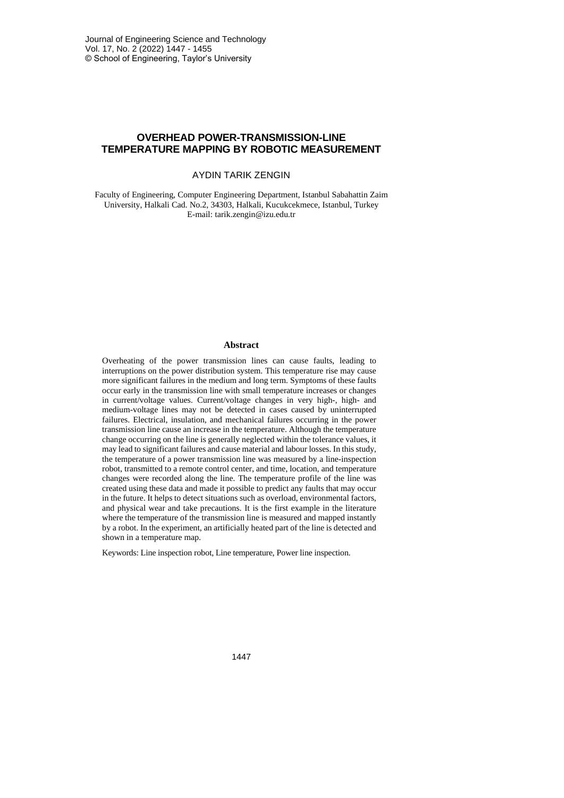# **OVERHEAD POWER-TRANSMISSION-LINE TEMPERATURE MAPPING BY ROBOTIC MEASUREMENT**

### AYDIN TARIK ZENGIN

Faculty of Engineering, Computer Engineering Department, Istanbul Sabahattin Zaim University, Halkali Cad. No.2, 34303, Halkali, Kucukcekmece, Istanbul, Turkey E-mail: tarik.zengin@izu.edu.tr

#### **Abstract**

Overheating of the power transmission lines can cause faults, leading to interruptions on the power distribution system. This temperature rise may cause more significant failures in the medium and long term. Symptoms of these faults occur early in the transmission line with small temperature increases or changes in current/voltage values. Current/voltage changes in very high-, high- and medium-voltage lines may not be detected in cases caused by uninterrupted failures. Electrical, insulation, and mechanical failures occurring in the power transmission line cause an increase in the temperature. Although the temperature change occurring on the line is generally neglected within the tolerance values, it may lead to significant failures and cause material and labour losses. In this study, the temperature of a power transmission line was measured by a line-inspection robot, transmitted to a remote control center, and time, location, and temperature changes were recorded along the line. The temperature profile of the line was created using these data and made it possible to predict any faults that may occur in the future. It helps to detect situations such as overload, environmental factors, and physical wear and take precautions. It is the first example in the literature where the temperature of the transmission line is measured and mapped instantly by a robot. In the experiment, an artificially heated part of the line is detected and shown in a temperature map.

Keywords: Line inspection robot, Line temperature, Power line inspection.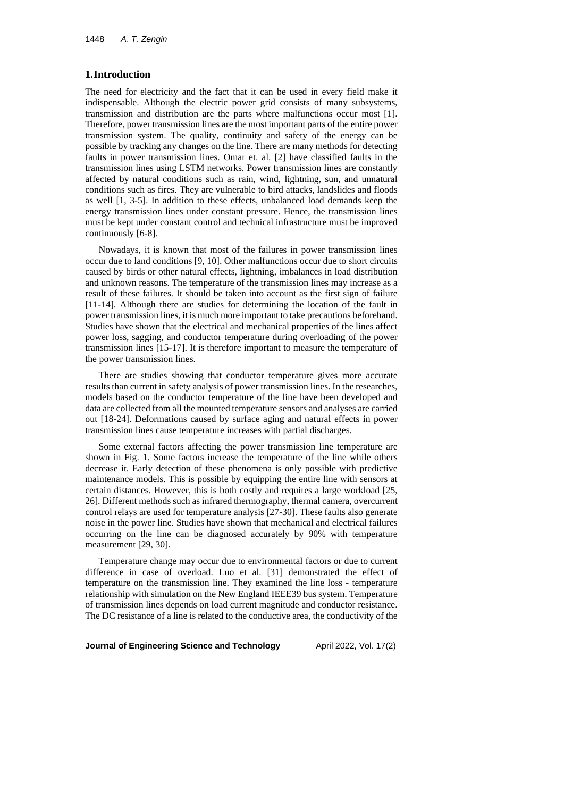#### **1.Introduction**

The need for electricity and the fact that it can be used in every field make it indispensable. Although the electric power grid consists of many subsystems, transmission and distribution are the parts where malfunctions occur most [1]. Therefore, power transmission lines are the most important parts of the entire power transmission system. The quality, continuity and safety of the energy can be possible by tracking any changes on the line. There are many methods for detecting faults in power transmission lines. Omar et. al. [2] have classified faults in the transmission lines using LSTM networks. Power transmission lines are constantly affected by natural conditions such as rain, wind, lightning, sun, and unnatural conditions such as fires. They are vulnerable to bird attacks, landslides and floods as well [1, 3-5]. In addition to these effects, unbalanced load demands keep the energy transmission lines under constant pressure. Hence, the transmission lines must be kept under constant control and technical infrastructure must be improved continuously [6-8].

Nowadays, it is known that most of the failures in power transmission lines occur due to land conditions [9, 10]. Other malfunctions occur due to short circuits caused by birds or other natural effects, lightning, imbalances in load distribution and unknown reasons. The temperature of the transmission lines may increase as a result of these failures. It should be taken into account as the first sign of failure [11-14]. Although there are studies for determining the location of the fault in power transmission lines, it is much more important to take precautions beforehand. Studies have shown that the electrical and mechanical properties of the lines affect power loss, sagging, and conductor temperature during overloading of the power transmission lines [15-17]. It is therefore important to measure the temperature of the power transmission lines.

There are studies showing that conductor temperature gives more accurate results than current in safety analysis of power transmission lines. In the researches, models based on the conductor temperature of the line have been developed and data are collected from all the mounted temperature sensors and analyses are carried out [18-24]. Deformations caused by surface aging and natural effects in power transmission lines cause temperature increases with partial discharges.

Some external factors affecting the power transmission line temperature are shown in Fig. 1. Some factors increase the temperature of the line while others decrease it. Early detection of these phenomena is only possible with predictive maintenance models. This is possible by equipping the entire line with sensors at certain distances. However, this is both costly and requires a large workload [25, 26]. Different methods such as infrared thermography, thermal camera, overcurrent control relays are used for temperature analysis [27-30]. These faults also generate noise in the power line. Studies have shown that mechanical and electrical failures occurring on the line can be diagnosed accurately by 90% with temperature measurement [29, 30].

Temperature change may occur due to environmental factors or due to current difference in case of overload. Luo et al. [31] demonstrated the effect of temperature on the transmission line. They examined the line loss - temperature relationship with simulation on the New England IEEE39 bus system. Temperature of transmission lines depends on load current magnitude and conductor resistance. The DC resistance of a line is related to the conductive area, the conductivity of the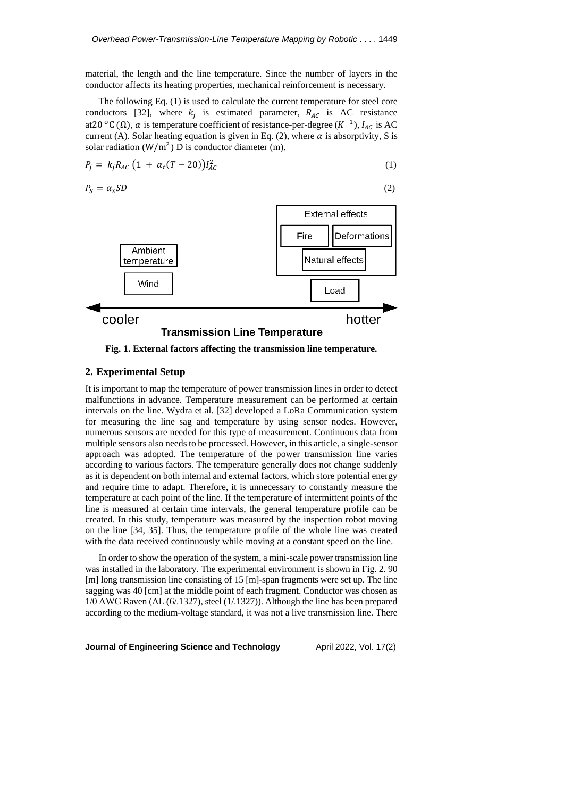material, the length and the line temperature. Since the number of layers in the conductor affects its heating properties, mechanical reinforcement is necessary.

The following Eq. (1) is used to calculate the current temperature for steel core conductors [32], where  $k_j$  is estimated parameter,  $R_{AC}$  is AC resistance at20 °C (Ω),  $\alpha$  is temperature coefficient of resistance-per-degree ( $K^{-1}$ ),  $I_{AC}$  is AC current (A). Solar heating equation is given in Eq. (2), where  $\alpha$  is absorptivity, S is solar radiation ( $W/m<sup>2</sup>$ ) D is conductor diameter (m).

$$
P_j = k_j R_{AC} (1 + \alpha_t (T - 20)) I_{AC}^2
$$
 (1)

$$
P_S = \alpha_S SD \tag{2}
$$





**Fig. 1. External factors affecting the transmission line temperature.**

## **2. Experimental Setup**

It is important to map the temperature of power transmission lines in order to detect malfunctions in advance. Temperature measurement can be performed at certain intervals on the line. Wydra et al. [32] developed a LoRa Communication system for measuring the line sag and temperature by using sensor nodes. However, numerous sensors are needed for this type of measurement. Continuous data from multiple sensors also needs to be processed. However, in this article, a single-sensor approach was adopted. The temperature of the power transmission line varies according to various factors. The temperature generally does not change suddenly as it is dependent on both internal and external factors, which store potential energy and require time to adapt. Therefore, it is unnecessary to constantly measure the temperature at each point of the line. If the temperature of intermittent points of the line is measured at certain time intervals, the general temperature profile can be created. In this study, temperature was measured by the inspection robot moving on the line [34, 35]. Thus, the temperature profile of the whole line was created with the data received continuously while moving at a constant speed on the line.

In order to show the operation of the system, a mini-scale power transmission line was installed in the laboratory. The experimental environment is shown in Fig. 2. 90 [m] long transmission line consisting of 15 [m]-span fragments were set up. The line sagging was 40 [cm] at the middle point of each fragment. Conductor was chosen as 1/0 AWG Raven (AL (6/.1327), steel (1/.1327)). Although the line has been prepared according to the medium-voltage standard, it was not a live transmission line. There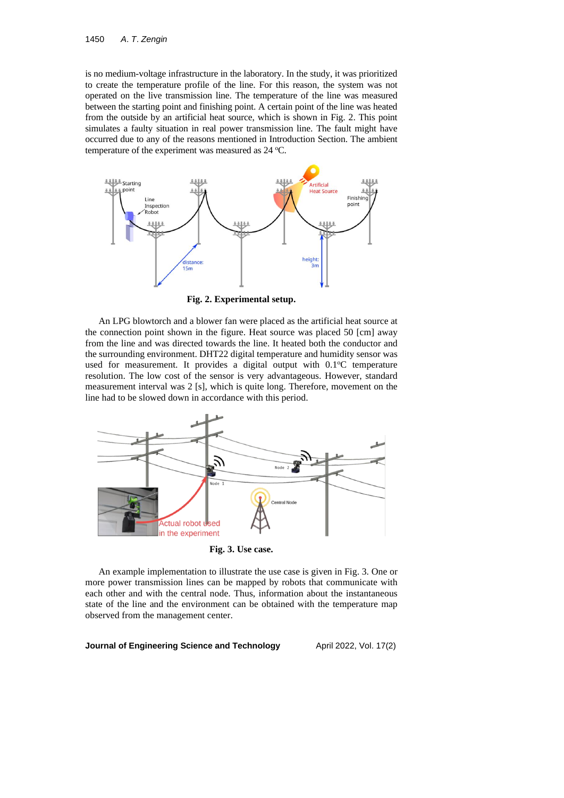is no medium-voltage infrastructure in the laboratory. In the study, it was prioritized to create the temperature profile of the line. For this reason, the system was not operated on the live transmission line. The temperature of the line was measured between the starting point and finishing point. A certain point of the line was heated from the outside by an artificial heat source, which is shown in Fig. 2. This point simulates a faulty situation in real power transmission line. The fault might have occurred due to any of the reasons mentioned in Introduction Section. The ambient temperature of the experiment was measured as 24 °C.



**Fig. 2. Experimental setup.**

An LPG blowtorch and a blower fan were placed as the artificial heat source at the connection point shown in the figure. Heat source was placed 50 [cm] away from the line and was directed towards the line. It heated both the conductor and the surrounding environment. DHT22 digital temperature and humidity sensor was used for measurement. It provides a digital output with  $0.1^{\circ}$ C temperature resolution. The low cost of the sensor is very advantageous. However, standard measurement interval was 2 [s], which is quite long. Therefore, movement on the line had to be slowed down in accordance with this period.



**Fig. 3. Use case.**

An example implementation to illustrate the use case is given in Fig. 3. One or more power transmission lines can be mapped by robots that communicate with each other and with the central node. Thus, information about the instantaneous state of the line and the environment can be obtained with the temperature map observed from the management center.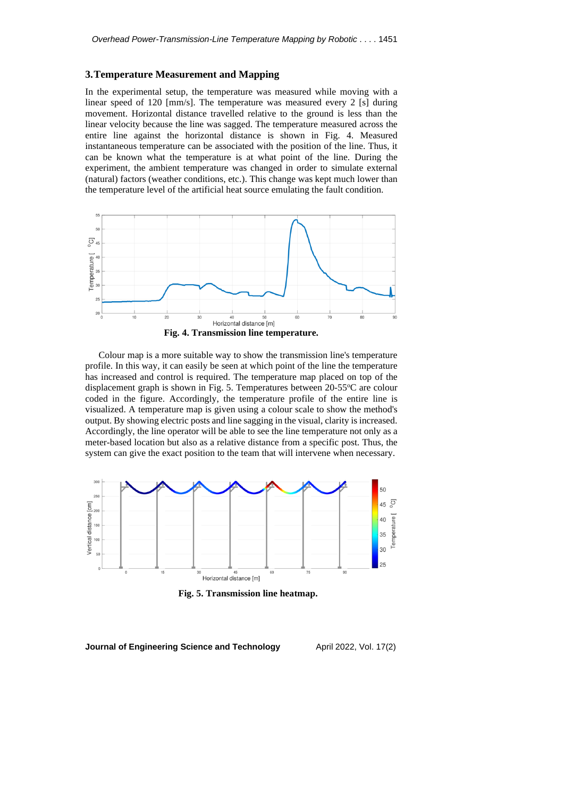#### **3.Temperature Measurement and Mapping**

In the experimental setup, the temperature was measured while moving with a linear speed of 120 [mm/s]. The temperature was measured every 2 [s] during movement. Horizontal distance travelled relative to the ground is less than the linear velocity because the line was sagged. The temperature measured across the entire line against the horizontal distance is shown in Fig. 4. Measured instantaneous temperature can be associated with the position of the line. Thus, it can be known what the temperature is at what point of the line. During the experiment, the ambient temperature was changed in order to simulate external (natural) factors (weather conditions, etc.). This change was kept much lower than the temperature level of the artificial heat source emulating the fault condition.



Colour map is a more suitable way to show the transmission line's temperature profile. In this way, it can easily be seen at which point of the line the temperature has increased and control is required. The temperature map placed on top of the displacement graph is shown in Fig. 5. Temperatures between 20-55 °C are colour coded in the figure. Accordingly, the temperature profile of the entire line is visualized. A temperature map is given using a colour scale to show the method's output. By showing electric posts and line sagging in the visual, clarity is increased. Accordingly, the line operator will be able to see the line temperature not only as a meter-based location but also as a relative distance from a specific post. Thus, the system can give the exact position to the team that will intervene when necessary.



**Fig. 5. Transmission line heatmap.**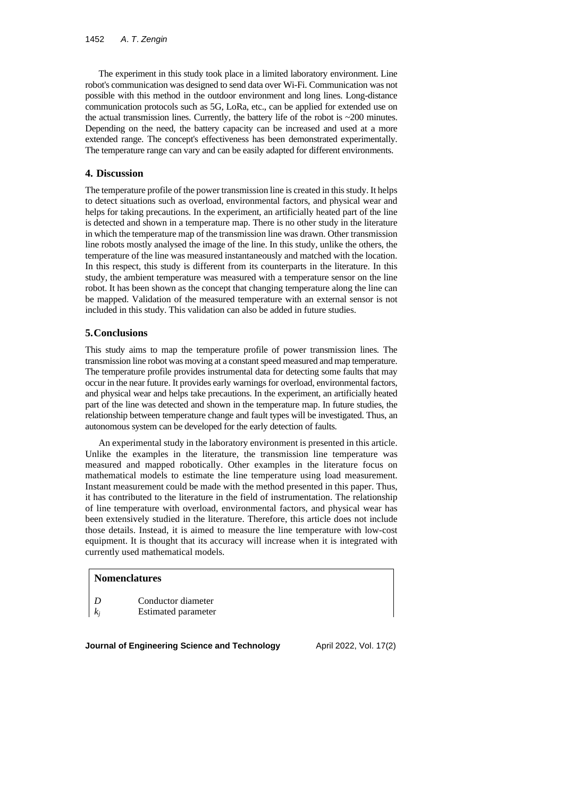The experiment in this study took place in a limited laboratory environment. Line robot's communication was designed to send data over Wi-Fi. Communication was not possible with this method in the outdoor environment and long lines. Long-distance communication protocols such as 5G, LoRa, etc., can be applied for extended use on the actual transmission lines. Currently, the battery life of the robot is  $\sim$  200 minutes. Depending on the need, the battery capacity can be increased and used at a more extended range. The concept's effectiveness has been demonstrated experimentally. The temperature range can vary and can be easily adapted for different environments.

### **4. Discussion**

The temperature profile of the power transmission line is created in this study. It helps to detect situations such as overload, environmental factors, and physical wear and helps for taking precautions. In the experiment, an artificially heated part of the line is detected and shown in a temperature map. There is no other study in the literature in which the temperature map of the transmission line was drawn. Other transmission line robots mostly analysed the image of the line. In this study, unlike the others, the temperature of the line was measured instantaneously and matched with the location. In this respect, this study is different from its counterparts in the literature. In this study, the ambient temperature was measured with a temperature sensor on the line robot. It has been shown as the concept that changing temperature along the line can be mapped. Validation of the measured temperature with an external sensor is not included in this study. This validation can also be added in future studies.

### **5.Conclusions**

This study aims to map the temperature profile of power transmission lines. The transmission line robot was moving at a constantspeed measured and map temperature. The temperature profile provides instrumental data for detecting some faults that may occur in the near future. It provides early warningsfor overload, environmental factors, and physical wear and helps take precautions. In the experiment, an artificially heated part of the line was detected and shown in the temperature map. In future studies, the relationship between temperature change and fault types will be investigated. Thus, an autonomous system can be developed for the early detection of faults.

An experimental study in the laboratory environment is presented in this article. Unlike the examples in the literature, the transmission line temperature was measured and mapped robotically. Other examples in the literature focus on mathematical models to estimate the line temperature using load measurement. Instant measurement could be made with the method presented in this paper. Thus, it has contributed to the literature in the field of instrumentation. The relationship of line temperature with overload, environmental factors, and physical wear has been extensively studied in the literature. Therefore, this article does not include those details. Instead, it is aimed to measure the line temperature with low-cost equipment. It is thought that its accuracy will increase when it is integrated with currently used mathematical models.

#### **Nomenclatures**

*D* Conductor diameter *k<sup>j</sup>* Estimated parameter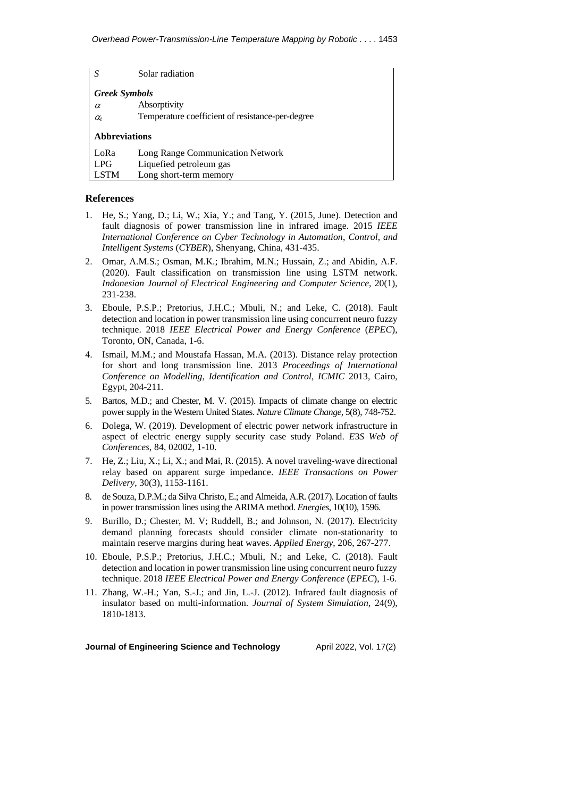| S                                | Solar radiation                                  |
|----------------------------------|--------------------------------------------------|
| <b>Greek Symbols</b>             |                                                  |
| $\alpha$                         | Absorptivity                                     |
| $\alpha_{\scriptscriptstyle{t}}$ | Temperature coefficient of resistance-per-degree |
| <b>Abbreviations</b>             |                                                  |
| LoRa                             | Long Range Communication Network                 |
| <b>LPG</b>                       | Liquefied petroleum gas                          |
| <b>LSTM</b>                      | Long short-term memory                           |

#### **References**

- 1. He, S.; Yang, D.; Li, W.; Xia, Y.; and Tang, Y. (2015, June). Detection and fault diagnosis of power transmission line in infrared image. 2015 *IEEE International Conference on Cyber Technology in Automation*, *Control*, *and Intelligent Systems* (*CYBER*), Shenyang, China, 431-435.
- 2. Omar, A.M.S.; Osman, M.K.; Ibrahim, M.N.; Hussain, Z.; and Abidin, A.F. (2020). Fault classification on transmission line using LSTM network. *Indonesian Journal of Electrical Engineering and Computer Science*, 20(1), 231-238.
- 3. Eboule, P.S.P.; Pretorius, J.H.C.; Mbuli, N.; and Leke, C. (2018). Fault detection and location in power transmission line using concurrent neuro fuzzy technique. 2018 *IEEE Electrical Power and Energy Conference* (*EPEC*), Toronto, ON, Canada, 1-6.
- 4. Ismail, M.M.; and Moustafa Hassan, M.A. (2013). Distance relay protection for short and long transmission line. 2013 *Proceedings of International Conference on Modelling*, *Identification and Control*, *ICMIC* 2013, Cairo, Egypt, 204-211.
- 5. Bartos, M.D.; and Chester, M. V. (2015). Impacts of climate change on electric power supply in the Western United States. *Nature Climate Change*, 5(8), 748-752.
- 6. Dolega, W. (2019). Development of electric power network infrastructure in aspect of electric energy supply security case study Poland. *E*3*S Web of Conferences*, 84, 02002, 1-10.
- 7. He, Z.; Liu, X.; Li, X.; and Mai, R. (2015). A novel traveling-wave directional relay based on apparent surge impedance. *IEEE Transactions on Power Delivery*, 30(3), 1153-1161.
- 8. de Souza, D.P.M.; da Silva Christo, E.; and Almeida, A.R. (2017). Location of faults in power transmission lines using the ARIMA method. *Energies*, 10(10), 1596.
- 9. Burillo, D.; Chester, M. V; Ruddell, B.; and Johnson, N. (2017). Electricity demand planning forecasts should consider climate non-stationarity to maintain reserve margins during heat waves. *Applied Energy*, 206, 267-277.
- 10. Eboule, P.S.P.; Pretorius, J.H.C.; Mbuli, N.; and Leke, C. (2018). Fault detection and location in power transmission line using concurrent neuro fuzzy technique. 2018 *IEEE Electrical Power and Energy Conference* (*EPEC*), 1*-*6.
- 11. Zhang, W.-H.; Yan, S.-J.; and Jin, L.-J. (2012). Infrared fault diagnosis of insulator based on multi-information. *Journal of System Simulation*, 24(9), 1810-1813.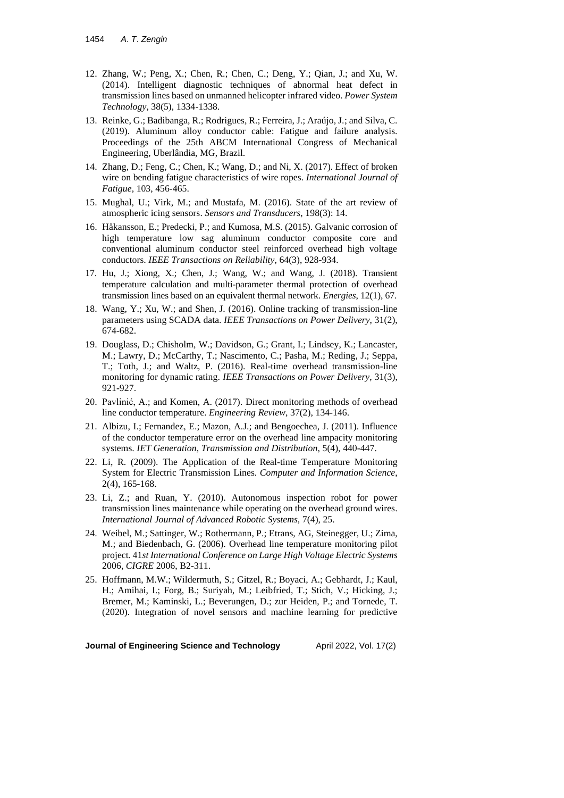- 12. Zhang, W.; Peng, X.; Chen, R.; Chen, C.; Deng, Y.; Qian, J.; and Xu, W. (2014). Intelligent diagnostic techniques of abnormal heat defect in transmission lines based on unmanned helicopter infrared video. *Power System Technology*, 38(5), 1334-1338.
- 13. Reinke, G.; Badibanga, R.; Rodrigues, R.; Ferreira, J.; Araújo, J.; and Silva, C. (2019). Aluminum alloy conductor cable: Fatigue and failure analysis. Proceedings of the 25th ABCM International Congress of Mechanical Engineering, Uberlândia, MG, Brazil.
- 14. Zhang, D.; Feng, C.; Chen, K.; Wang, D.; and Ni, X. (2017). Effect of broken wire on bending fatigue characteristics of wire ropes. *International Journal of Fatigue*, 103, 456-465.
- 15. Mughal, U.; Virk, M.; and Mustafa, M. (2016). State of the art review of atmospheric icing sensors. *Sensors and Transducers*, 198(3): 14.
- 16. Håkansson, E.; Predecki, P.; and Kumosa, M.S. (2015). Galvanic corrosion of high temperature low sag aluminum conductor composite core and conventional aluminum conductor steel reinforced overhead high voltage conductors. *IEEE Transactions on Reliability*, 64(3), 928-934.
- 17. Hu, J.; Xiong, X.; Chen, J.; Wang, W.; and Wang, J. (2018). Transient temperature calculation and multi-parameter thermal protection of overhead transmission lines based on an equivalent thermal network. *Energies*, 12(1), 67.
- 18. Wang, Y.; Xu, W.; and Shen, J. (2016). Online tracking of transmission-line parameters using SCADA data. *IEEE Transactions on Power Delivery*, 31(2), 674-682.
- 19. Douglass, D.; Chisholm, W.; Davidson, G.; Grant, I.; Lindsey, K.; Lancaster, M.; Lawry, D.; McCarthy, T.; Nascimento, C.; Pasha, M.; Reding, J.; Seppa, T.; Toth, J.; and Waltz, P. (2016). Real-time overhead transmission-line monitoring for dynamic rating. *IEEE Transactions on Power Delivery*, 31(3), 921-927.
- 20. Pavlinić, A.; and Komen, A. (2017). Direct monitoring methods of overhead line conductor temperature. *Engineering Review*, 37(2), 134-146.
- 21. Albizu, I.; Fernandez, E.; Mazon, A.J.; and Bengoechea, J. (2011). Influence of the conductor temperature error on the overhead line ampacity monitoring systems. *IET Generation*, *Transmission and Distribution*, 5(4), 440-447.
- 22. Li, R. (2009). The Application of the Real-time Temperature Monitoring System for Electric Transmission Lines. *Computer and Information Science*, 2(4), 165-168.
- 23. Li, Z.; and Ruan, Y. (2010). Autonomous inspection robot for power transmission lines maintenance while operating on the overhead ground wires. *International Journal of Advanced Robotic Systems*, 7(4), 25.
- 24. Weibel, M.; Sattinger, W.; Rothermann, P.; Etrans, AG, Steinegger, U.; Zima, M.; and Biedenbach, G. (2006). Overhead line temperature monitoring pilot project. 41*st International Conference on Large High Voltage Electric Systems* 2006, *CIGRE* 2006, B2-311.
- 25. Hoffmann, M.W.; Wildermuth, S.; Gitzel, R.; Boyaci, A.; Gebhardt, J.; Kaul, H.; Amihai, I.; Forg, B.; Suriyah, M.; Leibfried, T.; Stich, V.; Hicking, J.; Bremer, M.; Kaminski, L.; Beverungen, D.; zur Heiden, P.; and Tornede, T. (2020). Integration of novel sensors and machine learning for predictive